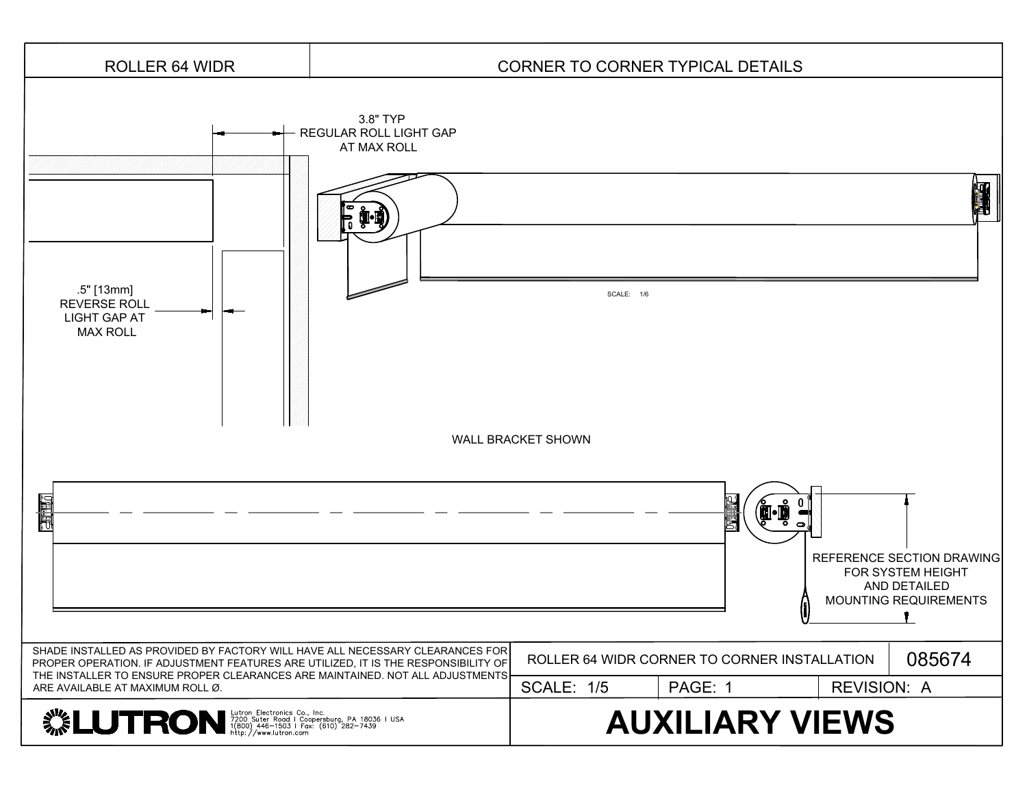